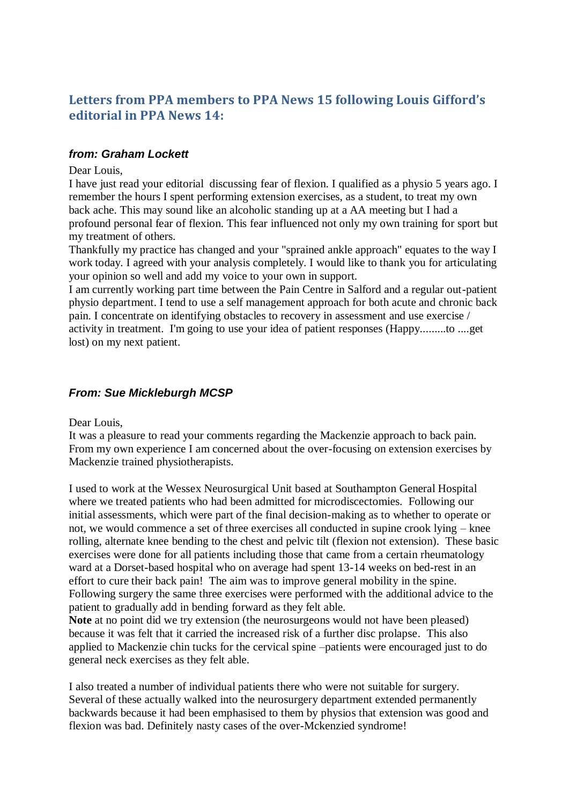# **Letters from PPA members to PPA News 15 following Louis Gifford's editorial in PPA News 14:**

#### *from: Graham Lockett*

Dear Louis,

I have just read your editorial discussing fear of flexion. I qualified as a physio 5 years ago. I remember the hours I spent performing extension exercises, as a student, to treat my own back ache. This may sound like an alcoholic standing up at a AA meeting but I had a profound personal fear of flexion. This fear influenced not only my own training for sport but my treatment of others.

Thankfully my practice has changed and your "sprained ankle approach" equates to the way I work today. I agreed with your analysis completely. I would like to thank you for articulating your opinion so well and add my voice to your own in support.

I am currently working part time between the Pain Centre in Salford and a regular out-patient physio department. I tend to use a self management approach for both acute and chronic back pain. I concentrate on identifying obstacles to recovery in assessment and use exercise / activity in treatment. I'm going to use your idea of patient responses (Happy.........to ....get lost) on my next patient.

## *From: Sue Mickleburgh MCSP*

Dear Louis,

It was a pleasure to read your comments regarding the Mackenzie approach to back pain. From my own experience I am concerned about the over-focusing on extension exercises by Mackenzie trained physiotherapists.

I used to work at the Wessex Neurosurgical Unit based at Southampton General Hospital where we treated patients who had been admitted for microdiscectomies. Following our initial assessments, which were part of the final decision-making as to whether to operate or not, we would commence a set of three exercises all conducted in supine crook lying – knee rolling, alternate knee bending to the chest and pelvic tilt (flexion not extension). These basic exercises were done for all patients including those that came from a certain rheumatology ward at a Dorset-based hospital who on average had spent 13-14 weeks on bed-rest in an effort to cure their back pain! The aim was to improve general mobility in the spine. Following surgery the same three exercises were performed with the additional advice to the patient to gradually add in bending forward as they felt able.

**Note** at no point did we try extension (the neurosurgeons would not have been pleased) because it was felt that it carried the increased risk of a further disc prolapse. This also applied to Mackenzie chin tucks for the cervical spine –patients were encouraged just to do general neck exercises as they felt able.

I also treated a number of individual patients there who were not suitable for surgery. Several of these actually walked into the neurosurgery department extended permanently backwards because it had been emphasised to them by physios that extension was good and flexion was bad. Definitely nasty cases of the over-Mckenzied syndrome!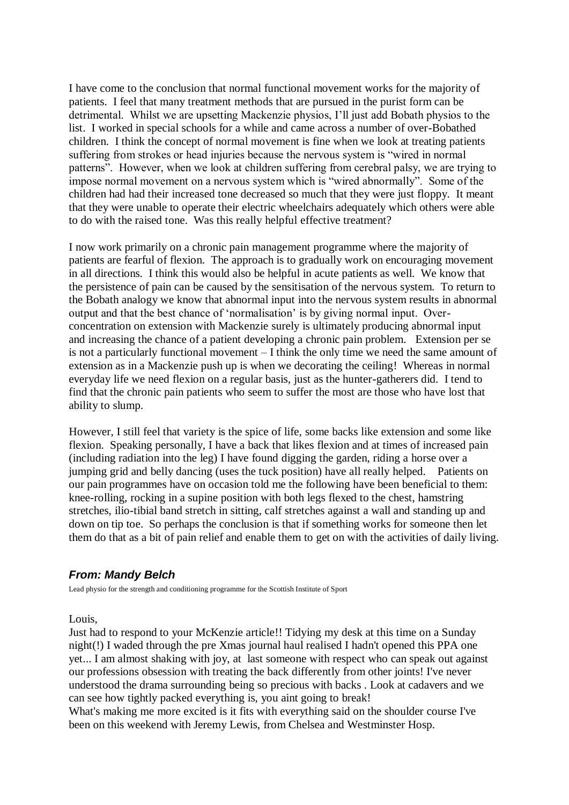I have come to the conclusion that normal functional movement works for the majority of patients. I feel that many treatment methods that are pursued in the purist form can be detrimental. Whilst we are upsetting Mackenzie physios, I'll just add Bobath physios to the list. I worked in special schools for a while and came across a number of over-Bobathed children. I think the concept of normal movement is fine when we look at treating patients suffering from strokes or head injuries because the nervous system is "wired in normal patterns". However, when we look at children suffering from cerebral palsy, we are trying to impose normal movement on a nervous system which is "wired abnormally". Some of the children had had their increased tone decreased so much that they were just floppy. It meant that they were unable to operate their electric wheelchairs adequately which others were able to do with the raised tone. Was this really helpful effective treatment?

I now work primarily on a chronic pain management programme where the majority of patients are fearful of flexion. The approach is to gradually work on encouraging movement in all directions. I think this would also be helpful in acute patients as well. We know that the persistence of pain can be caused by the sensitisation of the nervous system. To return to the Bobath analogy we know that abnormal input into the nervous system results in abnormal output and that the best chance of 'normalisation' is by giving normal input. Overconcentration on extension with Mackenzie surely is ultimately producing abnormal input and increasing the chance of a patient developing a chronic pain problem. Extension per se is not a particularly functional movement – I think the only time we need the same amount of extension as in a Mackenzie push up is when we decorating the ceiling! Whereas in normal everyday life we need flexion on a regular basis, just as the hunter-gatherers did. I tend to find that the chronic pain patients who seem to suffer the most are those who have lost that ability to slump.

However, I still feel that variety is the spice of life, some backs like extension and some like flexion. Speaking personally, I have a back that likes flexion and at times of increased pain (including radiation into the leg) I have found digging the garden, riding a horse over a jumping grid and belly dancing (uses the tuck position) have all really helped. Patients on our pain programmes have on occasion told me the following have been beneficial to them: knee-rolling, rocking in a supine position with both legs flexed to the chest, hamstring stretches, ilio-tibial band stretch in sitting, calf stretches against a wall and standing up and down on tip toe. So perhaps the conclusion is that if something works for someone then let them do that as a bit of pain relief and enable them to get on with the activities of daily living.

#### *From: Mandy Belch*

Lead physio for the strength and conditioning programme for the Scottish Institute of Sport

Louis,

Just had to respond to your McKenzie article!! Tidying my desk at this time on a Sunday night(!) I waded through the pre Xmas journal haul realised I hadn't opened this PPA one yet... I am almost shaking with joy, at last someone with respect who can speak out against our professions obsession with treating the back differently from other joints! I've never understood the drama surrounding being so precious with backs . Look at cadavers and we can see how tightly packed everything is, you aint going to break!

What's making me more excited is it fits with everything said on the shoulder course I've been on this weekend with Jeremy Lewis, from Chelsea and Westminster Hosp.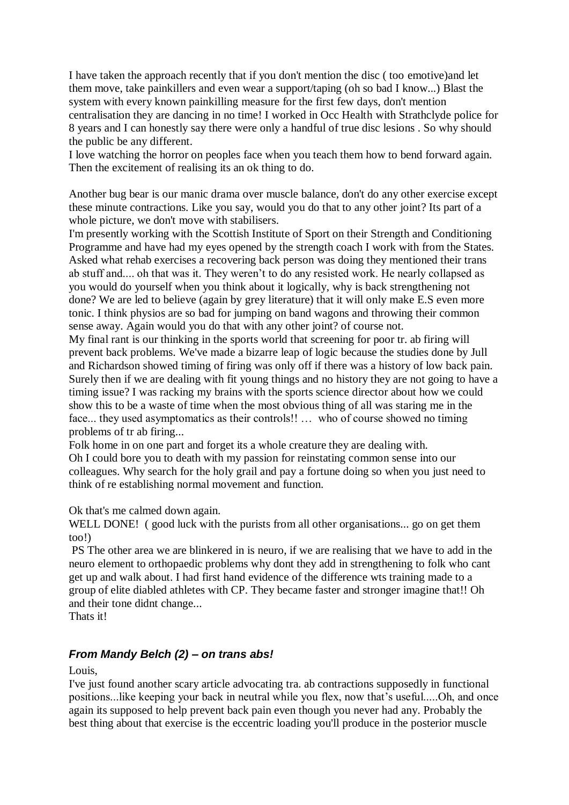I have taken the approach recently that if you don't mention the disc ( too emotive)and let them move, take painkillers and even wear a support/taping (oh so bad I know...) Blast the system with every known painkilling measure for the first few days, don't mention centralisation they are dancing in no time! I worked in Occ Health with Strathclyde police for 8 years and I can honestly say there were only a handful of true disc lesions . So why should the public be any different.

I love watching the horror on peoples face when you teach them how to bend forward again. Then the excitement of realising its an ok thing to do.

Another bug bear is our manic drama over muscle balance, don't do any other exercise except these minute contractions. Like you say, would you do that to any other joint? Its part of a whole picture, we don't move with stabilisers.

I'm presently working with the Scottish Institute of Sport on their Strength and Conditioning Programme and have had my eyes opened by the strength coach I work with from the States. Asked what rehab exercises a recovering back person was doing they mentioned their trans ab stuff and.... oh that was it. They weren't to do any resisted work. He nearly collapsed as you would do yourself when you think about it logically, why is back strengthening not done? We are led to believe (again by grey literature) that it will only make E.S even more tonic. I think physios are so bad for jumping on band wagons and throwing their common sense away. Again would you do that with any other joint? of course not.

My final rant is our thinking in the sports world that screening for poor tr. ab firing will prevent back problems. We've made a bizarre leap of logic because the studies done by Jull and Richardson showed timing of firing was only off if there was a history of low back pain. Surely then if we are dealing with fit young things and no history they are not going to have a timing issue? I was racking my brains with the sports science director about how we could show this to be a waste of time when the most obvious thing of all was staring me in the face... they used asymptomatics as their controls!! … who of course showed no timing problems of tr ab firing...

Folk home in on one part and forget its a whole creature they are dealing with. Oh I could bore you to death with my passion for reinstating common sense into our colleagues. Why search for the holy grail and pay a fortune doing so when you just need to think of re establishing normal movement and function.

Ok that's me calmed down again.

WELL DONE! (good luck with the purists from all other organisations... go on get them too!)

PS The other area we are blinkered in is neuro, if we are realising that we have to add in the neuro element to orthopaedic problems why dont they add in strengthening to folk who cant get up and walk about. I had first hand evidence of the difference wts training made to a group of elite diabled athletes with CP. They became faster and stronger imagine that!! Oh and their tone didnt change...

Thats it!

### *From Mandy Belch (2) – on trans abs!*

Louis,

I've just found another scary article advocating tra. ab contractions supposedly in functional positions...like keeping your back in neutral while you flex, now that's useful.....Oh, and once again its supposed to help prevent back pain even though you never had any. Probably the best thing about that exercise is the eccentric loading you'll produce in the posterior muscle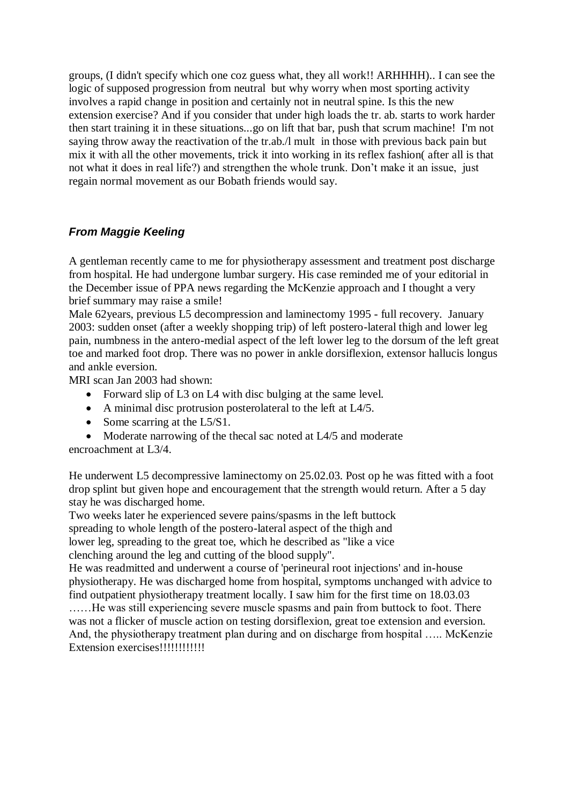groups, (I didn't specify which one coz guess what, they all work!! ARHHHH).. I can see the logic of supposed progression from neutral but why worry when most sporting activity involves a rapid change in position and certainly not in neutral spine. Is this the new extension exercise? And if you consider that under high loads the tr. ab. starts to work harder then start training it in these situations...go on lift that bar, push that scrum machine! I'm not saying throw away the reactivation of the tr.ab./l mult in those with previous back pain but mix it with all the other movements, trick it into working in its reflex fashion( after all is that not what it does in real life?) and strengthen the whole trunk. Don't make it an issue, just regain normal movement as our Bobath friends would say.

## *From Maggie Keeling*

A gentleman recently came to me for physiotherapy assessment and treatment post discharge from hospital. He had undergone lumbar surgery. His case reminded me of your editorial in the December issue of PPA news regarding the McKenzie approach and I thought a very brief summary may raise a smile!

Male 62years, previous L5 decompression and laminectomy 1995 - full recovery. January 2003: sudden onset (after a weekly shopping trip) of left postero-lateral thigh and lower leg pain, numbness in the antero-medial aspect of the left lower leg to the dorsum of the left great toe and marked foot drop. There was no power in ankle dorsiflexion, extensor hallucis longus and ankle eversion.

MRI scan Jan 2003 had shown:

- Forward slip of L3 on L4 with disc bulging at the same level.
- A minimal disc protrusion posterolateral to the left at L4/5.
- Some scarring at the L5/S1.
- Moderate narrowing of the thecal sac noted at L4/5 and moderate

encroachment at L3/4.

He underwent L5 decompressive laminectomy on 25.02.03. Post op he was fitted with a foot drop splint but given hope and encouragement that the strength would return. After a 5 day stay he was discharged home.

Two weeks later he experienced severe pains/spasms in the left buttock spreading to whole length of the postero-lateral aspect of the thigh and lower leg, spreading to the great toe, which he described as "like a vice clenching around the leg and cutting of the blood supply".

He was readmitted and underwent a course of 'perineural root injections' and in-house physiotherapy. He was discharged home from hospital, symptoms unchanged with advice to find outpatient physiotherapy treatment locally. I saw him for the first time on 18.03.03 ……He was still experiencing severe muscle spasms and pain from buttock to foot. There was not a flicker of muscle action on testing dorsiflexion, great toe extension and eversion. And, the physiotherapy treatment plan during and on discharge from hospital ….. McKenzie Extension exercises!!!!!!!!!!!!!!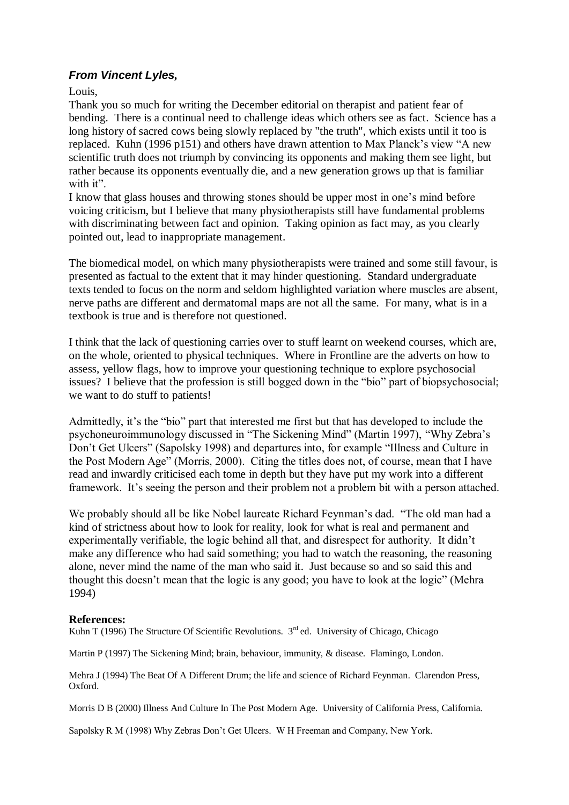## *From Vincent Lyles,*

Louis,

Thank you so much for writing the December editorial on therapist and patient fear of bending. There is a continual need to challenge ideas which others see as fact. Science has a long history of sacred cows being slowly replaced by "the truth", which exists until it too is replaced. Kuhn (1996 p151) and others have drawn attention to Max Planck's view "A new scientific truth does not triumph by convincing its opponents and making them see light, but rather because its opponents eventually die, and a new generation grows up that is familiar with it".

I know that glass houses and throwing stones should be upper most in one's mind before voicing criticism, but I believe that many physiotherapists still have fundamental problems with discriminating between fact and opinion. Taking opinion as fact may, as you clearly pointed out, lead to inappropriate management.

The biomedical model, on which many physiotherapists were trained and some still favour, is presented as factual to the extent that it may hinder questioning. Standard undergraduate texts tended to focus on the norm and seldom highlighted variation where muscles are absent, nerve paths are different and dermatomal maps are not all the same. For many, what is in a textbook is true and is therefore not questioned.

I think that the lack of questioning carries over to stuff learnt on weekend courses, which are, on the whole, oriented to physical techniques. Where in Frontline are the adverts on how to assess, yellow flags, how to improve your questioning technique to explore psychosocial issues? I believe that the profession is still bogged down in the "bio" part of biopsychosocial; we want to do stuff to patients!

Admittedly, it's the "bio" part that interested me first but that has developed to include the psychoneuroimmunology discussed in "The Sickening Mind" (Martin 1997), "Why Zebra's Don't Get Ulcers" (Sapolsky 1998) and departures into, for example "Illness and Culture in the Post Modern Age" (Morris, 2000). Citing the titles does not, of course, mean that I have read and inwardly criticised each tome in depth but they have put my work into a different framework. It's seeing the person and their problem not a problem bit with a person attached.

We probably should all be like Nobel laureate Richard Feynman's dad. "The old man had a kind of strictness about how to look for reality, look for what is real and permanent and experimentally verifiable, the logic behind all that, and disrespect for authority. It didn't make any difference who had said something; you had to watch the reasoning, the reasoning alone, never mind the name of the man who said it. Just because so and so said this and thought this doesn't mean that the logic is any good; you have to look at the logic" (Mehra 1994)

#### **References:**

Kuhn T (1996) The Structure Of Scientific Revolutions.  $3<sup>rd</sup>$  ed. University of Chicago, Chicago

Martin P (1997) The Sickening Mind; brain, behaviour, immunity, & disease. Flamingo, London.

Mehra J (1994) The Beat Of A Different Drum; the life and science of Richard Feynman. Clarendon Press, Oxford.

Morris D B (2000) Illness And Culture In The Post Modern Age. University of California Press, California.

Sapolsky R M (1998) Why Zebras Don't Get Ulcers. W H Freeman and Company, New York.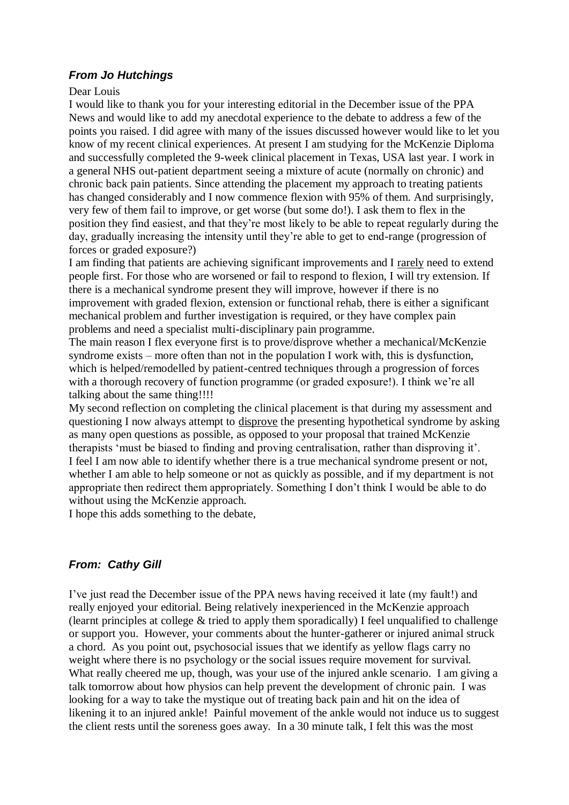## *From Jo Hutchings*

#### Dear Louis

I would like to thank you for your interesting editorial in the December issue of the PPA News and would like to add my anecdotal experience to the debate to address a few of the points you raised. I did agree with many of the issues discussed however would like to let you know of my recent clinical experiences. At present I am studying for the McKenzie Diploma and successfully completed the 9-week clinical placement in Texas, USA last year. I work in a general NHS out-patient department seeing a mixture of acute (normally on chronic) and chronic back pain patients. Since attending the placement my approach to treating patients has changed considerably and I now commence flexion with 95% of them. And surprisingly, very few of them fail to improve, or get worse (but some do!). I ask them to flex in the position they find easiest, and that they're most likely to be able to repeat regularly during the day, gradually increasing the intensity until they're able to get to end-range (progression of forces or graded exposure?)

I am finding that patients are achieving significant improvements and I rarely need to extend people first. For those who are worsened or fail to respond to flexion, I will try extension. If there is a mechanical syndrome present they will improve, however if there is no improvement with graded flexion, extension or functional rehab, there is either a significant mechanical problem and further investigation is required, or they have complex pain problems and need a specialist multi-disciplinary pain programme.

The main reason I flex everyone first is to prove/disprove whether a mechanical/McKenzie syndrome exists – more often than not in the population I work with, this is dysfunction, which is helped/remodelled by patient-centred techniques through a progression of forces with a thorough recovery of function programme (or graded exposure!). I think we're all talking about the same thing!!!!

My second reflection on completing the clinical placement is that during my assessment and questioning I now always attempt to disprove the presenting hypothetical syndrome by asking as many open questions as possible, as opposed to your proposal that trained McKenzie therapists 'must be biased to finding and proving centralisation, rather than disproving it'. I feel I am now able to identify whether there is a true mechanical syndrome present or not, whether I am able to help someone or not as quickly as possible, and if my department is not appropriate then redirect them appropriately. Something I don't think I would be able to do without using the McKenzie approach.

I hope this adds something to the debate,

# *From: Cathy Gill*

I've just read the December issue of the PPA news having received it late (my fault!) and really enjoyed your editorial. Being relatively inexperienced in the McKenzie approach (learnt principles at college & tried to apply them sporadically) I feel unqualified to challenge or support you. However, your comments about the hunter-gatherer or injured animal struck a chord. As you point out, psychosocial issues that we identify as yellow flags carry no weight where there is no psychology or the social issues require movement for survival. What really cheered me up, though, was your use of the injured ankle scenario. I am giving a talk tomorrow about how physios can help prevent the development of chronic pain. I was looking for a way to take the mystique out of treating back pain and hit on the idea of likening it to an injured ankle! Painful movement of the ankle would not induce us to suggest the client rests until the soreness goes away. In a 30 minute talk, I felt this was the most